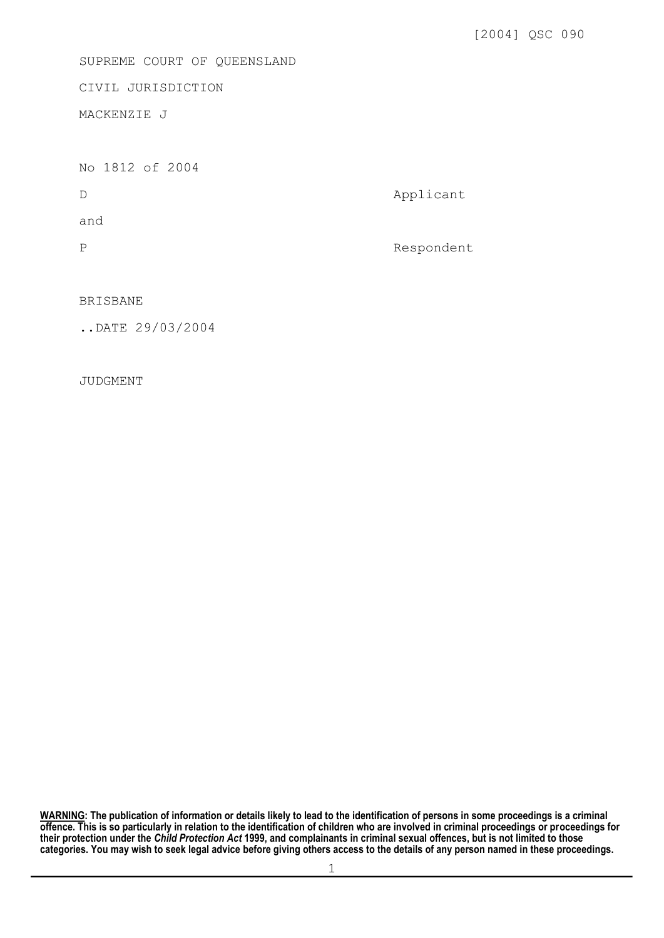SUPREME COURT OF QUEENSLAND

CIVIL JURISDICTION

MACKENZIE J

No 1812 of 2004

D Applicant

and

P Respondent

BRISBANE

..DATE 29/03/2004

JUDGMENT

**WARNING: The publication of information or details likely to lead to the identification of persons in some proceedings is a criminal offence. This is so particularly in relation to the identification of children who are involved in criminal proceedings or proceedings for their protection under the** *Child Protection Act* **1999, and complainants in criminal sexual offences, but is not limited to those categories. You may wish to seek legal advice before giving others access to the details of any person named in these proceedings.**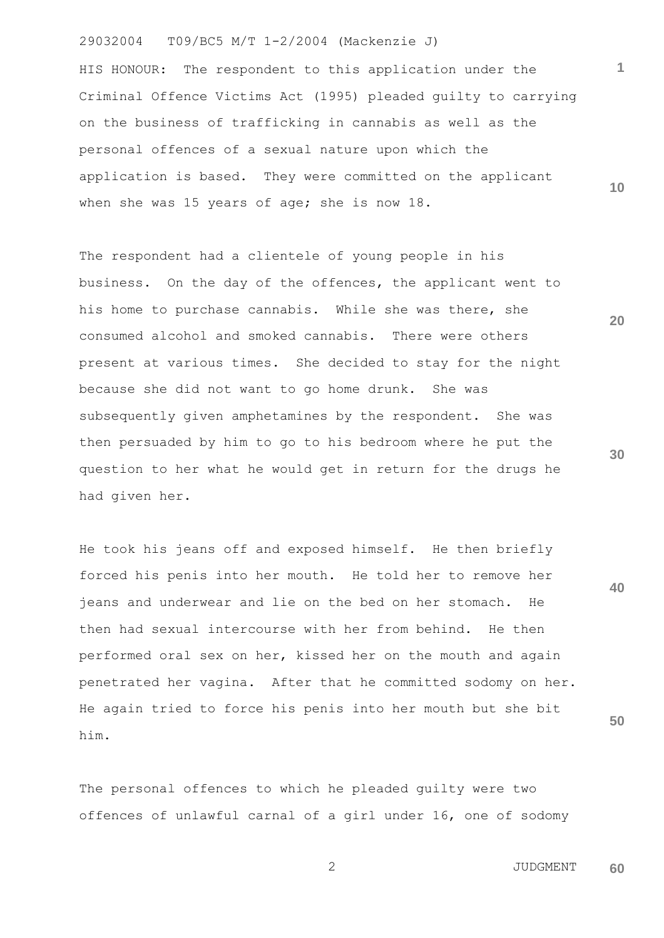HIS HONOUR: The respondent to this application under the Criminal Offence Victims Act (1995) pleaded guilty to carrying on the business of trafficking in cannabis as well as the personal offences of a sexual nature upon which the application is based. They were committed on the applicant when she was 15 years of age; she is now 18.

The respondent had a clientele of young people in his business. On the day of the offences, the applicant went to his home to purchase cannabis. While she was there, she consumed alcohol and smoked cannabis. There were others present at various times. She decided to stay for the night because she did not want to go home drunk. She was subsequently given amphetamines by the respondent. She was then persuaded by him to go to his bedroom where he put the question to her what he would get in return for the drugs he had given her.

He took his jeans off and exposed himself. He then briefly forced his penis into her mouth. He told her to remove her jeans and underwear and lie on the bed on her stomach. He then had sexual intercourse with her from behind. He then performed oral sex on her, kissed her on the mouth and again penetrated her vagina. After that he committed sodomy on her. He again tried to force his penis into her mouth but she bit him.

The personal offences to which he pleaded guilty were two offences of unlawful carnal of a girl under 16, one of sodomy

**30**

**20**

**1**

**10**

**40**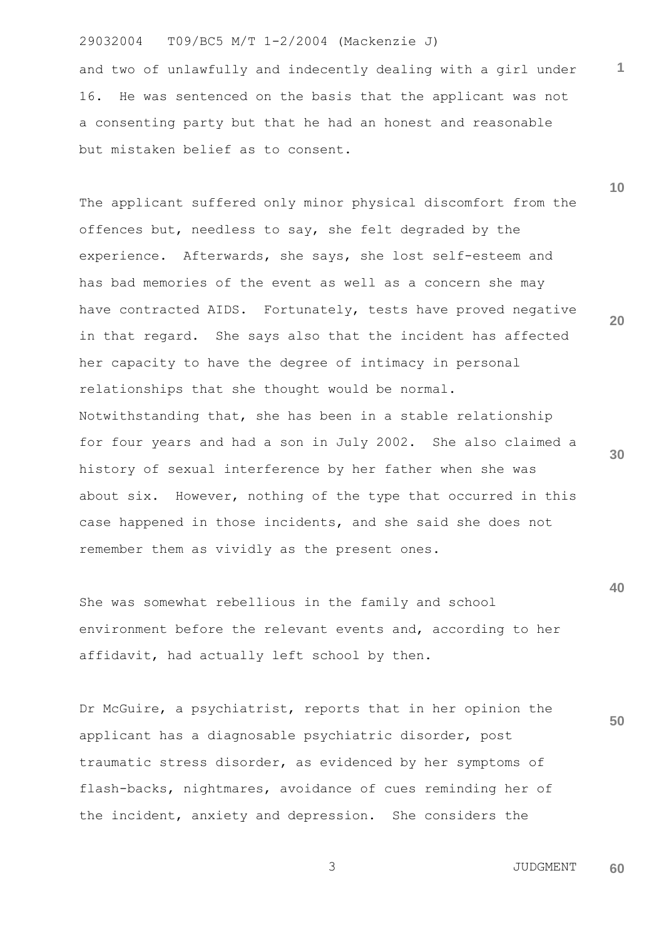and two of unlawfully and indecently dealing with a girl under 16. He was sentenced on the basis that the applicant was not a consenting party but that he had an honest and reasonable but mistaken belief as to consent.

**20 30** The applicant suffered only minor physical discomfort from the offences but, needless to say, she felt degraded by the experience. Afterwards, she says, she lost self-esteem and has bad memories of the event as well as a concern she may have contracted AIDS. Fortunately, tests have proved negative in that regard. She says also that the incident has affected her capacity to have the degree of intimacy in personal relationships that she thought would be normal. Notwithstanding that, she has been in a stable relationship for four years and had a son in July 2002. She also claimed a history of sexual interference by her father when she was about six. However, nothing of the type that occurred in this case happened in those incidents, and she said she does not remember them as vividly as the present ones.

She was somewhat rebellious in the family and school environment before the relevant events and, according to her affidavit, had actually left school by then.

**50** Dr McGuire, a psychiatrist, reports that in her opinion the applicant has a diagnosable psychiatric disorder, post traumatic stress disorder, as evidenced by her symptoms of flash-backs, nightmares, avoidance of cues reminding her of the incident, anxiety and depression. She considers the

> 3 JUDGMENT **60**

**1**

**10**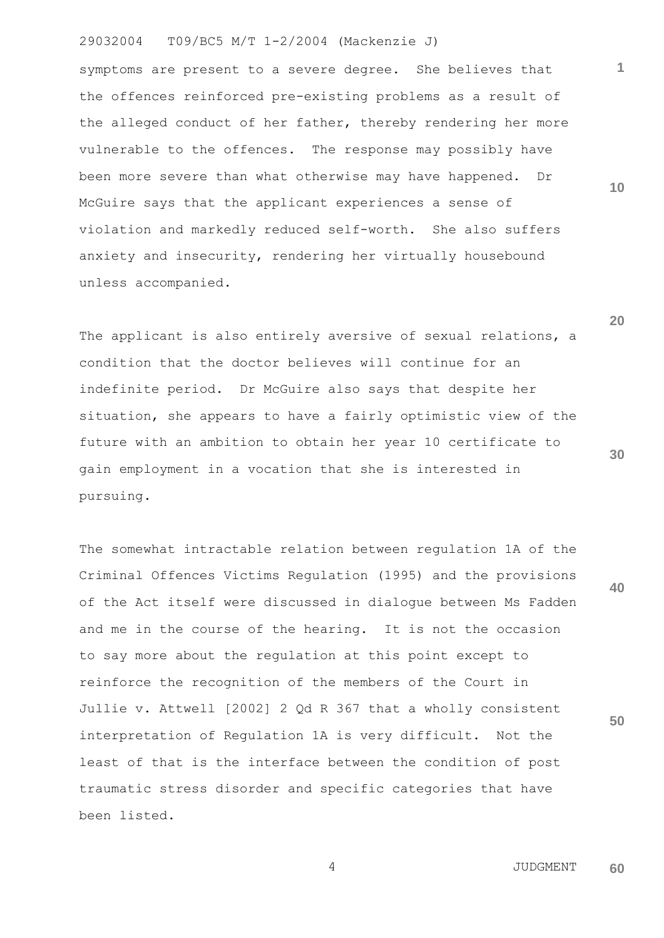symptoms are present to a severe degree. She believes that the offences reinforced pre-existing problems as a result of the alleged conduct of her father, thereby rendering her more vulnerable to the offences. The response may possibly have been more severe than what otherwise may have happened. Dr McGuire says that the applicant experiences a sense of violation and markedly reduced self-worth. She also suffers anxiety and insecurity, rendering her virtually housebound unless accompanied.

The applicant is also entirely aversive of sexual relations, a condition that the doctor believes will continue for an indefinite period. Dr McGuire also says that despite her situation, she appears to have a fairly optimistic view of the future with an ambition to obtain her year 10 certificate to gain employment in a vocation that she is interested in pursuing.

The somewhat intractable relation between regulation 1A of the Criminal Offences Victims Regulation (1995) and the provisions of the Act itself were discussed in dialogue between Ms Fadden and me in the course of the hearing. It is not the occasion to say more about the regulation at this point except to reinforce the recognition of the members of the Court in Jullie v. Attwell [2002] 2 Qd R 367 that a wholly consistent interpretation of Regulation 1A is very difficult. Not the least of that is the interface between the condition of post traumatic stress disorder and specific categories that have been listed.

**10**

**1**

**30**

**40**

**50**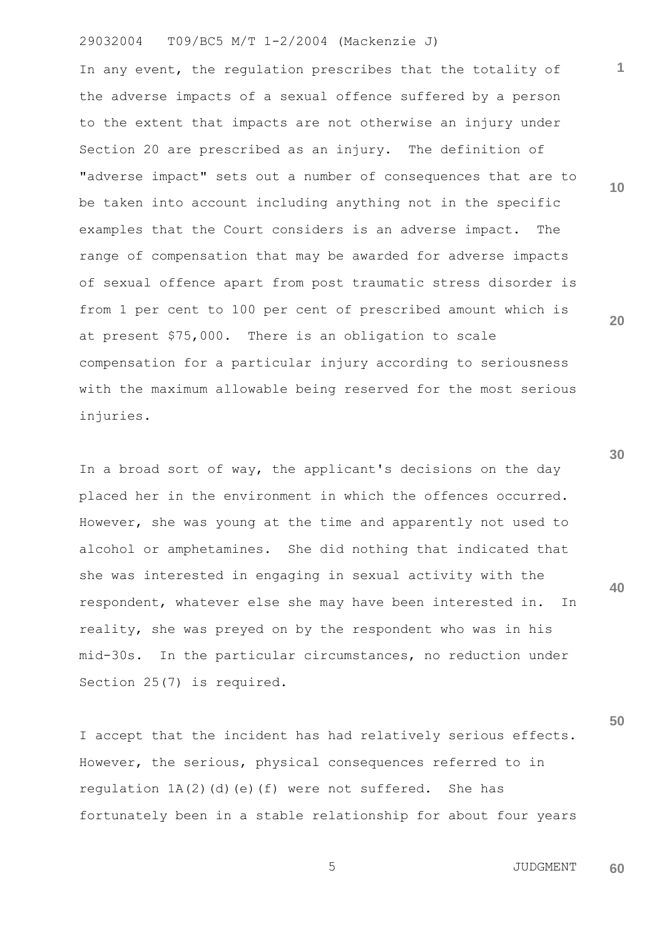In any event, the regulation prescribes that the totality of the adverse impacts of a sexual offence suffered by a person to the extent that impacts are not otherwise an injury under Section 20 are prescribed as an injury. The definition of "adverse impact" sets out a number of consequences that are to be taken into account including anything not in the specific examples that the Court considers is an adverse impact. The range of compensation that may be awarded for adverse impacts of sexual offence apart from post traumatic stress disorder is from 1 per cent to 100 per cent of prescribed amount which is at present \$75,000. There is an obligation to scale compensation for a particular injury according to seriousness with the maximum allowable being reserved for the most serious injuries.

In a broad sort of way, the applicant's decisions on the day placed her in the environment in which the offences occurred. However, she was young at the time and apparently not used to alcohol or amphetamines. She did nothing that indicated that she was interested in engaging in sexual activity with the respondent, whatever else she may have been interested in. In reality, she was preyed on by the respondent who was in his mid-30s. In the particular circumstances, no reduction under Section 25(7) is required.

I accept that the incident has had relatively serious effects. However, the serious, physical consequences referred to in regulation  $1A(2)$  (d)(e)(f) were not suffered. She has fortunately been in a stable relationship for about four years **10**

**1**

**20**

**30**

**40**